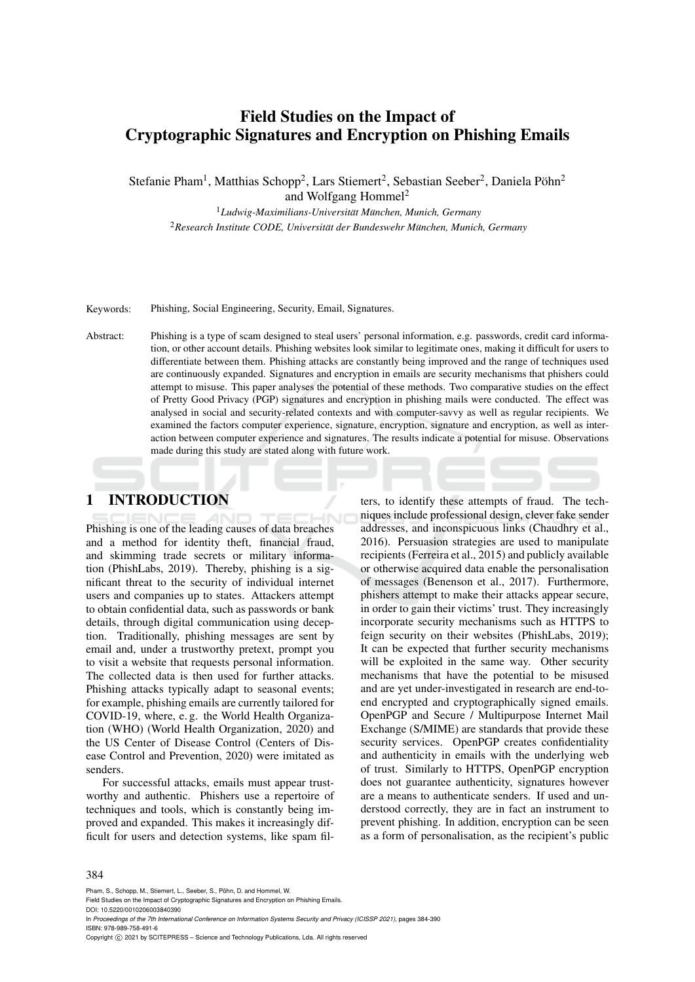# Field Studies on the Impact of Cryptographic Signatures and Encryption on Phishing Emails

Stefanie Pham<sup>1</sup>, Matthias Schopp<sup>2</sup>, Lars Stiemert<sup>2</sup>, Sebastian Seeber<sup>2</sup>, Daniela Pöhn<sup>2</sup>

and Wolfgang Hommel<sup>2</sup>

<sup>1</sup>*Ludwig-Maximilians-Universitat M¨ unchen, Munich, Germany ¨* <sup>2</sup> Research Institute CODE, Universität der Bundeswehr München, Munich, Germany

Keywords: Phishing, Social Engineering, Security, Email, Signatures.

Abstract: Phishing is a type of scam designed to steal users' personal information, e.g. passwords, credit card information, or other account details. Phishing websites look similar to legitimate ones, making it difficult for users to differentiate between them. Phishing attacks are constantly being improved and the range of techniques used are continuously expanded. Signatures and encryption in emails are security mechanisms that phishers could attempt to misuse. This paper analyses the potential of these methods. Two comparative studies on the effect of Pretty Good Privacy (PGP) signatures and encryption in phishing mails were conducted. The effect was analysed in social and security-related contexts and with computer-savvy as well as regular recipients. We examined the factors computer experience, signature, encryption, signature and encryption, as well as interaction between computer experience and signatures. The results indicate a potential for misuse. Observations made during this study are stated along with future work.

### 1 INTRODUCTION

Phishing is one of the leading causes of data breaches and a method for identity theft, financial fraud, and skimming trade secrets or military information (PhishLabs, 2019). Thereby, phishing is a significant threat to the security of individual internet users and companies up to states. Attackers attempt to obtain confidential data, such as passwords or bank details, through digital communication using deception. Traditionally, phishing messages are sent by email and, under a trustworthy pretext, prompt you to visit a website that requests personal information. The collected data is then used for further attacks. Phishing attacks typically adapt to seasonal events; for example, phishing emails are currently tailored for COVID-19, where, e. g. the World Health Organization (WHO) (World Health Organization, 2020) and the US Center of Disease Control (Centers of Disease Control and Prevention, 2020) were imitated as senders.

For successful attacks, emails must appear trustworthy and authentic. Phishers use a repertoire of techniques and tools, which is constantly being improved and expanded. This makes it increasingly difficult for users and detection systems, like spam filters, to identify these attempts of fraud. The techniques include professional design, clever fake sender addresses, and inconspicuous links (Chaudhry et al., 2016). Persuasion strategies are used to manipulate recipients (Ferreira et al., 2015) and publicly available or otherwise acquired data enable the personalisation of messages (Benenson et al., 2017). Furthermore, phishers attempt to make their attacks appear secure, in order to gain their victims' trust. They increasingly incorporate security mechanisms such as HTTPS to feign security on their websites (PhishLabs, 2019); It can be expected that further security mechanisms will be exploited in the same way. Other security mechanisms that have the potential to be misused and are yet under-investigated in research are end-toend encrypted and cryptographically signed emails. OpenPGP and Secure / Multipurpose Internet Mail Exchange (S/MIME) are standards that provide these security services. OpenPGP creates confidentiality and authenticity in emails with the underlying web of trust. Similarly to HTTPS, OpenPGP encryption does not guarantee authenticity, signatures however are a means to authenticate senders. If used and understood correctly, they are in fact an instrument to prevent phishing. In addition, encryption can be seen as a form of personalisation, as the recipient's public

#### 384

Pham, S., Schopp, M., Stiemert, L., Seeber, S., Pöhn, D. and Hommel, W.

Field Studies on the Impact of Cryptographic Signatures and Encryption on Phishing Emails

DOI: 10.5220/0010206003840390

In *Proceedings of the 7th International Conference on Information Systems Security and Privacy (ICISSP 2021)*, pages 384-390 ISBN: 978-989-758-491-6

Copyright  $©$  2021 by SCITEPRESS - Science and Technology Publications, Lda. All rights reserved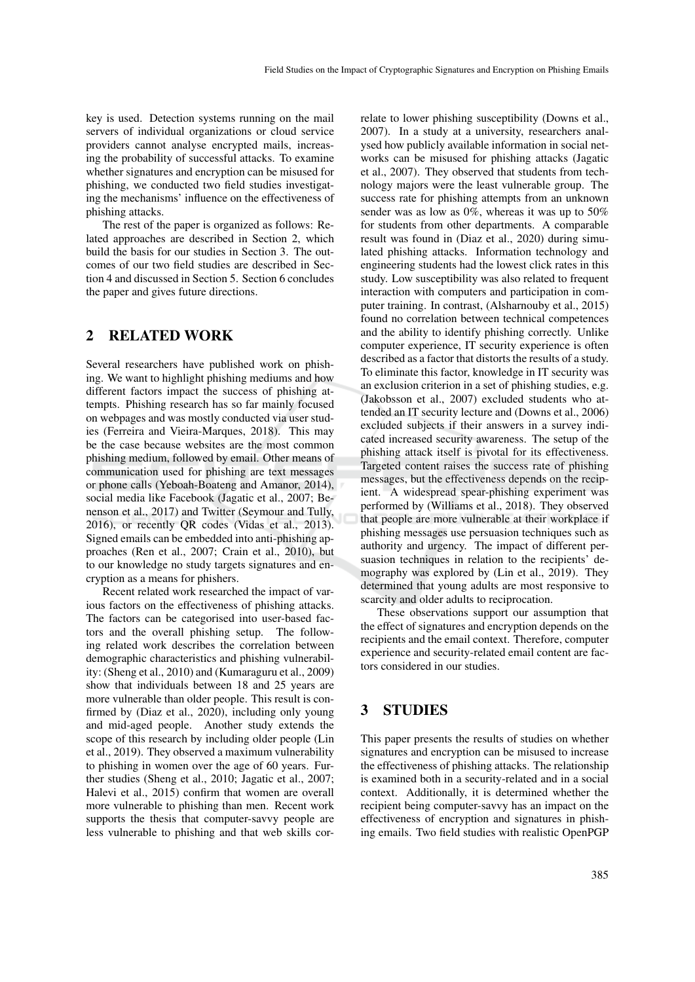key is used. Detection systems running on the mail servers of individual organizations or cloud service providers cannot analyse encrypted mails, increasing the probability of successful attacks. To examine whether signatures and encryption can be misused for phishing, we conducted two field studies investigating the mechanisms' influence on the effectiveness of phishing attacks.

The rest of the paper is organized as follows: Related approaches are described in Section 2, which build the basis for our studies in Section 3. The outcomes of our two field studies are described in Section 4 and discussed in Section 5. Section 6 concludes the paper and gives future directions.

### 2 RELATED WORK

Several researchers have published work on phishing. We want to highlight phishing mediums and how different factors impact the success of phishing attempts. Phishing research has so far mainly focused on webpages and was mostly conducted via user studies (Ferreira and Vieira-Marques, 2018). This may be the case because websites are the most common phishing medium, followed by email. Other means of communication used for phishing are text messages or phone calls (Yeboah-Boateng and Amanor, 2014), social media like Facebook (Jagatic et al., 2007; Benenson et al., 2017) and Twitter (Seymour and Tully, 2016), or recently QR codes (Vidas et al., 2013). Signed emails can be embedded into anti-phishing approaches (Ren et al., 2007; Crain et al., 2010), but to our knowledge no study targets signatures and encryption as a means for phishers.

Recent related work researched the impact of various factors on the effectiveness of phishing attacks. The factors can be categorised into user-based factors and the overall phishing setup. The following related work describes the correlation between demographic characteristics and phishing vulnerability: (Sheng et al., 2010) and (Kumaraguru et al., 2009) show that individuals between 18 and 25 years are more vulnerable than older people. This result is confirmed by (Diaz et al., 2020), including only young and mid-aged people. Another study extends the scope of this research by including older people (Lin et al., 2019). They observed a maximum vulnerability to phishing in women over the age of 60 years. Further studies (Sheng et al., 2010; Jagatic et al., 2007; Halevi et al., 2015) confirm that women are overall more vulnerable to phishing than men. Recent work supports the thesis that computer-savvy people are less vulnerable to phishing and that web skills cor-

relate to lower phishing susceptibility (Downs et al., 2007). In a study at a university, researchers analysed how publicly available information in social networks can be misused for phishing attacks (Jagatic et al., 2007). They observed that students from technology majors were the least vulnerable group. The success rate for phishing attempts from an unknown sender was as low as 0%, whereas it was up to 50% for students from other departments. A comparable result was found in (Diaz et al., 2020) during simulated phishing attacks. Information technology and engineering students had the lowest click rates in this study. Low susceptibility was also related to frequent interaction with computers and participation in computer training. In contrast, (Alsharnouby et al., 2015) found no correlation between technical competences and the ability to identify phishing correctly. Unlike computer experience, IT security experience is often described as a factor that distorts the results of a study. To eliminate this factor, knowledge in IT security was an exclusion criterion in a set of phishing studies, e.g. (Jakobsson et al., 2007) excluded students who attended an IT security lecture and (Downs et al., 2006) excluded subjects if their answers in a survey indicated increased security awareness. The setup of the phishing attack itself is pivotal for its effectiveness. Targeted content raises the success rate of phishing messages, but the effectiveness depends on the recipient. A widespread spear-phishing experiment was performed by (Williams et al., 2018). They observed that people are more vulnerable at their workplace if phishing messages use persuasion techniques such as authority and urgency. The impact of different persuasion techniques in relation to the recipients' demography was explored by (Lin et al., 2019). They determined that young adults are most responsive to scarcity and older adults to reciprocation.

These observations support our assumption that the effect of signatures and encryption depends on the recipients and the email context. Therefore, computer experience and security-related email content are factors considered in our studies.

### 3 STUDIES

This paper presents the results of studies on whether signatures and encryption can be misused to increase the effectiveness of phishing attacks. The relationship is examined both in a security-related and in a social context. Additionally, it is determined whether the recipient being computer-savvy has an impact on the effectiveness of encryption and signatures in phishing emails. Two field studies with realistic OpenPGP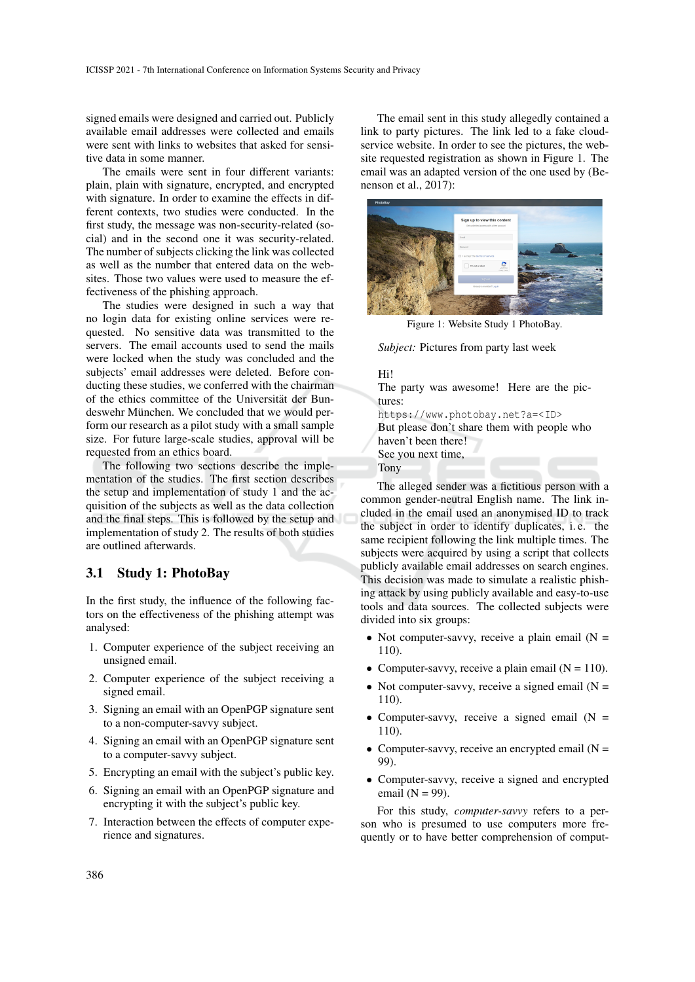signed emails were designed and carried out. Publicly available email addresses were collected and emails were sent with links to websites that asked for sensitive data in some manner.

The emails were sent in four different variants: plain, plain with signature, encrypted, and encrypted with signature. In order to examine the effects in different contexts, two studies were conducted. In the first study, the message was non-security-related (social) and in the second one it was security-related. The number of subjects clicking the link was collected as well as the number that entered data on the websites. Those two values were used to measure the effectiveness of the phishing approach.

The studies were designed in such a way that no login data for existing online services were requested. No sensitive data was transmitted to the servers. The email accounts used to send the mails were locked when the study was concluded and the subjects' email addresses were deleted. Before conducting these studies, we conferred with the chairman of the ethics committee of the Universität der Bundeswehr München. We concluded that we would perform our research as a pilot study with a small sample size. For future large-scale studies, approval will be requested from an ethics board.

The following two sections describe the implementation of the studies. The first section describes the setup and implementation of study 1 and the acquisition of the subjects as well as the data collection and the final steps. This is followed by the setup and implementation of study 2. The results of both studies are outlined afterwards.

### 3.1 Study 1: PhotoBay

In the first study, the influence of the following factors on the effectiveness of the phishing attempt was analysed:

- 1. Computer experience of the subject receiving an unsigned email.
- 2. Computer experience of the subject receiving a signed email.
- 3. Signing an email with an OpenPGP signature sent to a non-computer-savvy subject.
- 4. Signing an email with an OpenPGP signature sent to a computer-savvy subject.
- 5. Encrypting an email with the subject's public key.
- 6. Signing an email with an OpenPGP signature and encrypting it with the subject's public key.
- 7. Interaction between the effects of computer experience and signatures.

The email sent in this study allegedly contained a link to party pictures. The link led to a fake cloudservice website. In order to see the pictures, the website requested registration as shown in Figure 1. The email was an adapted version of the one used by (Benenson et al., 2017):



Figure 1: Website Study 1 PhotoBay.

*Subject:* Pictures from party last week

#### Hi!

The party was awesome! Here are the pictures: https://www.photobay.net?a=<ID> But please don't share them with people who haven't been there! See you next time, Tony

The alleged sender was a fictitious person with a common gender-neutral English name. The link included in the email used an anonymised ID to track the subject in order to identify duplicates, i. e. the same recipient following the link multiple times. The subjects were acquired by using a script that collects publicly available email addresses on search engines. This decision was made to simulate a realistic phishing attack by using publicly available and easy-to-use tools and data sources. The collected subjects were divided into six groups:

- Not computer-savvy, receive a plain email  $(N =$ 110).
- Computer-savvy, receive a plain email  $(N = 110)$ .
- Not computer-savvy, receive a signed email  $(N =$ 110).
- Computer-savvy, receive a signed email  $(N =$ 110).
- Computer-savvy, receive an encrypted email  $(N =$ 99).
- Computer-savvy, receive a signed and encrypted email  $(N = 99)$ .

For this study, *computer-savvy* refers to a person who is presumed to use computers more frequently or to have better comprehension of comput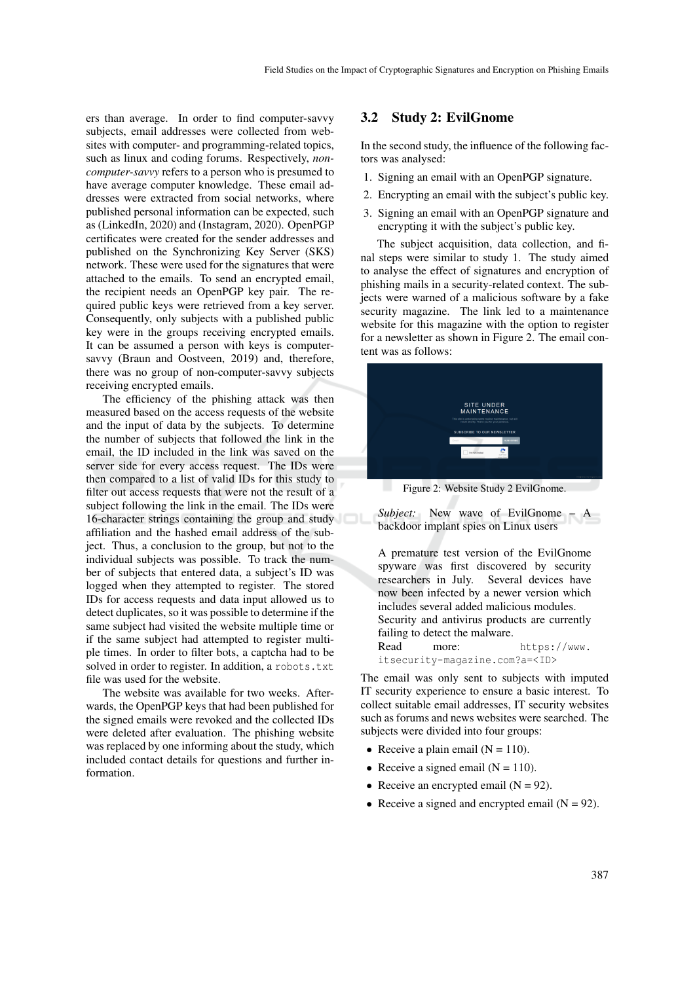ers than average. In order to find computer-savvy subjects, email addresses were collected from websites with computer- and programming-related topics, such as linux and coding forums. Respectively, *noncomputer-savvy* refers to a person who is presumed to have average computer knowledge. These email addresses were extracted from social networks, where published personal information can be expected, such as (LinkedIn, 2020) and (Instagram, 2020). OpenPGP certificates were created for the sender addresses and published on the Synchronizing Key Server (SKS) network. These were used for the signatures that were attached to the emails. To send an encrypted email, the recipient needs an OpenPGP key pair. The required public keys were retrieved from a key server. Consequently, only subjects with a published public key were in the groups receiving encrypted emails. It can be assumed a person with keys is computersavvy (Braun and Oostveen, 2019) and, therefore, there was no group of non-computer-savvy subjects receiving encrypted emails.

The efficiency of the phishing attack was then measured based on the access requests of the website and the input of data by the subjects. To determine the number of subjects that followed the link in the email, the ID included in the link was saved on the server side for every access request. The IDs were then compared to a list of valid IDs for this study to filter out access requests that were not the result of a subject following the link in the email. The IDs were 16-character strings containing the group and study affiliation and the hashed email address of the subject. Thus, a conclusion to the group, but not to the individual subjects was possible. To track the number of subjects that entered data, a subject's ID was logged when they attempted to register. The stored IDs for access requests and data input allowed us to detect duplicates, so it was possible to determine if the same subject had visited the website multiple time or if the same subject had attempted to register multiple times. In order to filter bots, a captcha had to be solved in order to register. In addition, a robots.txt file was used for the website.

The website was available for two weeks. Afterwards, the OpenPGP keys that had been published for the signed emails were revoked and the collected IDs were deleted after evaluation. The phishing website was replaced by one informing about the study, which included contact details for questions and further information.

### 3.2 Study 2: EvilGnome

In the second study, the influence of the following factors was analysed:

- 1. Signing an email with an OpenPGP signature.
- 2. Encrypting an email with the subject's public key.
- 3. Signing an email with an OpenPGP signature and encrypting it with the subject's public key.

The subject acquisition, data collection, and final steps were similar to study 1. The study aimed to analyse the effect of signatures and encryption of phishing mails in a security-related context. The subjects were warned of a malicious software by a fake security magazine. The link led to a maintenance website for this magazine with the option to register for a newsletter as shown in Figure 2. The email content was as follows:



Figure 2: Website Study 2 EvilGnome.

*Subject:* New wave of EvilGnome – A backdoor implant spies on Linux users

A premature test version of the EvilGnome spyware was first discovered by security researchers in July. Several devices have now been infected by a newer version which includes several added malicious modules. Security and antivirus products are currently failing to detect the malware. Read more: https://www. itsecurity-magazine.com?a=<ID>

The email was only sent to subjects with imputed IT security experience to ensure a basic interest. To collect suitable email addresses, IT security websites such as forums and news websites were searched. The subjects were divided into four groups:

- Receive a plain email  $(N = 110)$ .
- Receive a signed email  $(N = 110)$ .
- Receive an encrypted email  $(N = 92)$ .
- Receive a signed and encrypted email  $(N = 92)$ .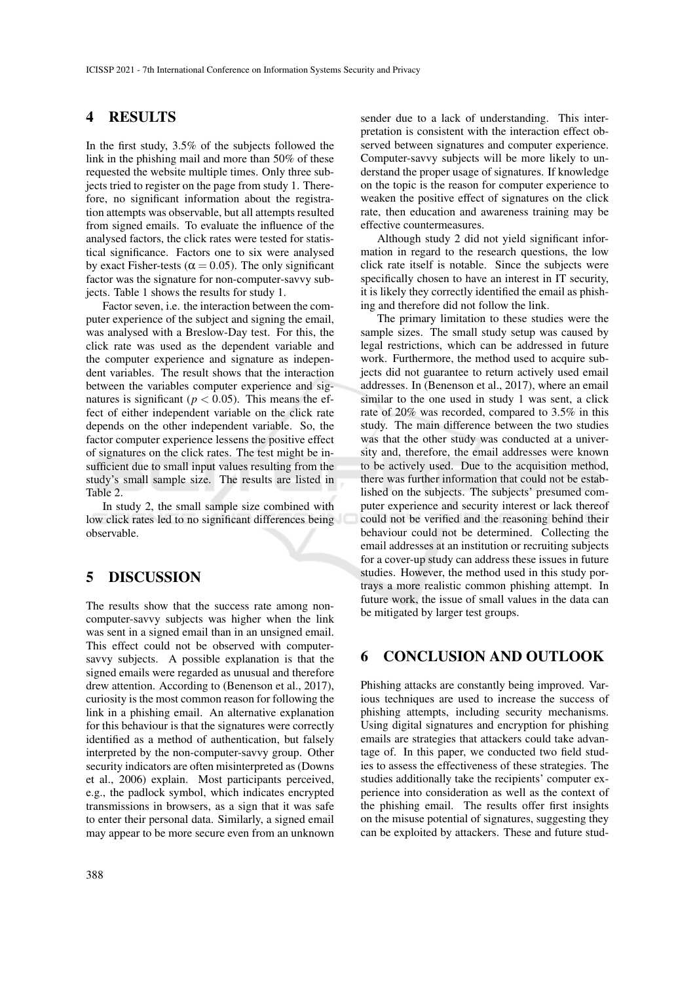### 4 RESULTS

In the first study, 3.5% of the subjects followed the link in the phishing mail and more than 50% of these requested the website multiple times. Only three subjects tried to register on the page from study 1. Therefore, no significant information about the registration attempts was observable, but all attempts resulted from signed emails. To evaluate the influence of the analysed factors, the click rates were tested for statistical significance. Factors one to six were analysed by exact Fisher-tests ( $\alpha$  = 0.05). The only significant factor was the signature for non-computer-savvy subjects. Table 1 shows the results for study 1.

Factor seven, i.e. the interaction between the computer experience of the subject and signing the email, was analysed with a Breslow-Day test. For this, the click rate was used as the dependent variable and the computer experience and signature as independent variables. The result shows that the interaction between the variables computer experience and signatures is significant ( $p < 0.05$ ). This means the effect of either independent variable on the click rate depends on the other independent variable. So, the factor computer experience lessens the positive effect of signatures on the click rates. The test might be insufficient due to small input values resulting from the study's small sample size. The results are listed in Table 2.

In study 2, the small sample size combined with low click rates led to no significant differences being observable.

### 5 DISCUSSION

The results show that the success rate among noncomputer-savvy subjects was higher when the link was sent in a signed email than in an unsigned email. This effect could not be observed with computersavvy subjects. A possible explanation is that the signed emails were regarded as unusual and therefore drew attention. According to (Benenson et al., 2017), curiosity is the most common reason for following the link in a phishing email. An alternative explanation for this behaviour is that the signatures were correctly identified as a method of authentication, but falsely interpreted by the non-computer-savvy group. Other security indicators are often misinterpreted as (Downs et al., 2006) explain. Most participants perceived, e.g., the padlock symbol, which indicates encrypted transmissions in browsers, as a sign that it was safe to enter their personal data. Similarly, a signed email may appear to be more secure even from an unknown

sender due to a lack of understanding. This interpretation is consistent with the interaction effect observed between signatures and computer experience. Computer-savvy subjects will be more likely to understand the proper usage of signatures. If knowledge on the topic is the reason for computer experience to weaken the positive effect of signatures on the click rate, then education and awareness training may be effective countermeasures.

Although study 2 did not yield significant information in regard to the research questions, the low click rate itself is notable. Since the subjects were specifically chosen to have an interest in IT security, it is likely they correctly identified the email as phishing and therefore did not follow the link.

The primary limitation to these studies were the sample sizes. The small study setup was caused by legal restrictions, which can be addressed in future work. Furthermore, the method used to acquire subjects did not guarantee to return actively used email addresses. In (Benenson et al., 2017), where an email similar to the one used in study 1 was sent, a click rate of 20% was recorded, compared to 3.5% in this study. The main difference between the two studies was that the other study was conducted at a university and, therefore, the email addresses were known to be actively used. Due to the acquisition method, there was further information that could not be established on the subjects. The subjects' presumed computer experience and security interest or lack thereof could not be verified and the reasoning behind their behaviour could not be determined. Collecting the email addresses at an institution or recruiting subjects for a cover-up study can address these issues in future studies. However, the method used in this study portrays a more realistic common phishing attempt. In future work, the issue of small values in the data can be mitigated by larger test groups.

## 6 CONCLUSION AND OUTLOOK

Phishing attacks are constantly being improved. Various techniques are used to increase the success of phishing attempts, including security mechanisms. Using digital signatures and encryption for phishing emails are strategies that attackers could take advantage of. In this paper, we conducted two field studies to assess the effectiveness of these strategies. The studies additionally take the recipients' computer experience into consideration as well as the context of the phishing email. The results offer first insights on the misuse potential of signatures, suggesting they can be exploited by attackers. These and future stud-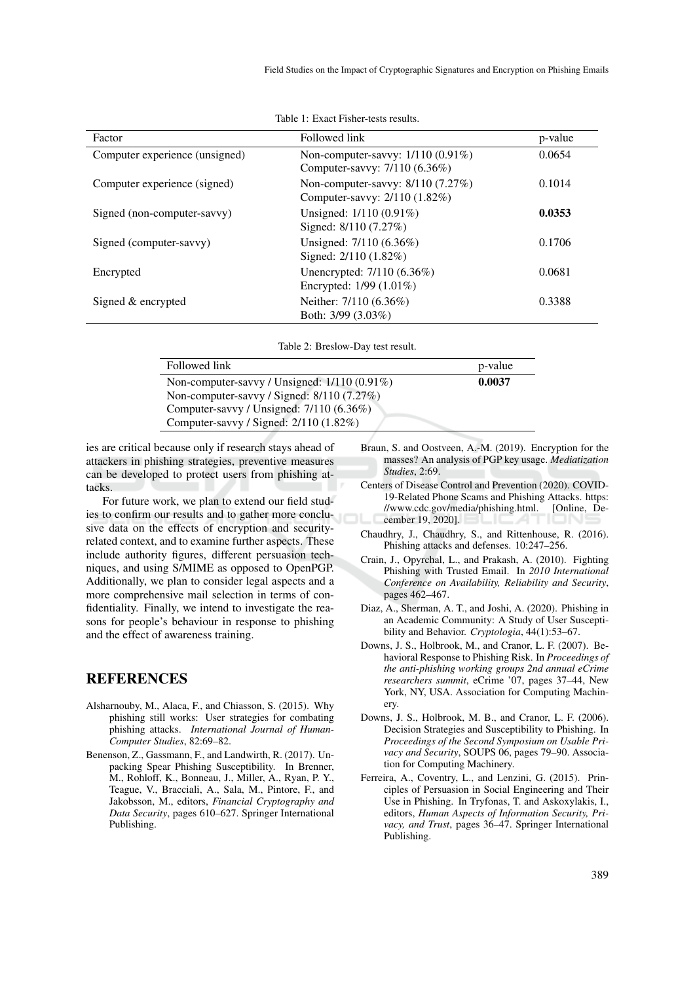| Factor                         | Followed link                                                        | p-value |
|--------------------------------|----------------------------------------------------------------------|---------|
| Computer experience (unsigned) | Non-computer-savvy: 1/110 (0.91%)<br>Computer-savvy: 7/110 (6.36%)   | 0.0654  |
| Computer experience (signed)   | Non-computer-savvy: $8/110$ (7.27%)<br>Computer-savvy: 2/110 (1.82%) | 0.1014  |
| Signed (non-computer-savvy)    | Unsigned: $1/110(0.91\%)$<br>Signed: 8/110 (7.27%)                   | 0.0353  |
| Signed (computer-savvy)        | Unsigned: 7/110 (6.36%)<br>Signed: 2/110 (1.82%)                     | 0.1706  |
| Encrypted                      | Unencrypted: 7/110 (6.36%)<br>Encrypted: 1/99 (1.01%)                | 0.0681  |
| Signed & encrypted             | Neither: 7/110 (6.36%)<br>Both: 3/99 (3.03%)                         | 0.3388  |

Table 1: Exact Fisher-tests results.

Table 2: Breslow-Day test result.

| Followed link                                | p-value |
|----------------------------------------------|---------|
| Non-computer-savvy / Unsigned: 1/110 (0.91%) | 0.0037  |
| Non-computer-savvy / Signed: 8/110 (7.27%)   |         |
| Computer-savvy / Unsigned: 7/110 (6.36%)     |         |
| Computer-savvy / Signed: 2/110 (1.82%)       |         |

ies are critical because only if research stays ahead of attackers in phishing strategies, preventive measures can be developed to protect users from phishing attacks.

For future work, we plan to extend our field studies to confirm our results and to gather more conclusive data on the effects of encryption and securityrelated context, and to examine further aspects. These include authority figures, different persuasion techniques, and using S/MIME as opposed to OpenPGP. Additionally, we plan to consider legal aspects and a more comprehensive mail selection in terms of confidentiality. Finally, we intend to investigate the reasons for people's behaviour in response to phishing and the effect of awareness training.

### REFERENCES

- Alsharnouby, M., Alaca, F., and Chiasson, S. (2015). Why phishing still works: User strategies for combating phishing attacks. *International Journal of Human-Computer Studies*, 82:69–82.
- Benenson, Z., Gassmann, F., and Landwirth, R. (2017). Unpacking Spear Phishing Susceptibility. In Brenner, M., Rohloff, K., Bonneau, J., Miller, A., Ryan, P. Y., Teague, V., Bracciali, A., Sala, M., Pintore, F., and Jakobsson, M., editors, *Financial Cryptography and Data Security*, pages 610–627. Springer International Publishing.
- Braun, S. and Oostveen, A.-M. (2019). Encryption for the masses? An analysis of PGP key usage. *Mediatization Studies*, 2:69.
- Centers of Disease Control and Prevention (2020). COVID-19-Related Phone Scams and Phishing Attacks. https: //www.cdc.gov/media/phishing.html. [Online, December 19, 2020].
- Chaudhry, J., Chaudhry, S., and Rittenhouse, R. (2016). Phishing attacks and defenses. 10:247–256.
- Crain, J., Opyrchal, L., and Prakash, A. (2010). Fighting Phishing with Trusted Email. In *2010 International Conference on Availability, Reliability and Security*, pages 462–467.
- Diaz, A., Sherman, A. T., and Joshi, A. (2020). Phishing in an Academic Community: A Study of User Susceptibility and Behavior. *Cryptologia*, 44(1):53–67.
- Downs, J. S., Holbrook, M., and Cranor, L. F. (2007). Behavioral Response to Phishing Risk. In *Proceedings of the anti-phishing working groups 2nd annual eCrime researchers summit*, eCrime '07, pages 37–44, New York, NY, USA. Association for Computing Machinery.
- Downs, J. S., Holbrook, M. B., and Cranor, L. F. (2006). Decision Strategies and Susceptibility to Phishing. In *Proceedings of the Second Symposium on Usable Privacy and Security*, SOUPS 06, pages 79–90. Association for Computing Machinery.
- Ferreira, A., Coventry, L., and Lenzini, G. (2015). Principles of Persuasion in Social Engineering and Their Use in Phishing. In Tryfonas, T. and Askoxylakis, I., editors, *Human Aspects of Information Security, Privacy, and Trust*, pages 36–47. Springer International Publishing.